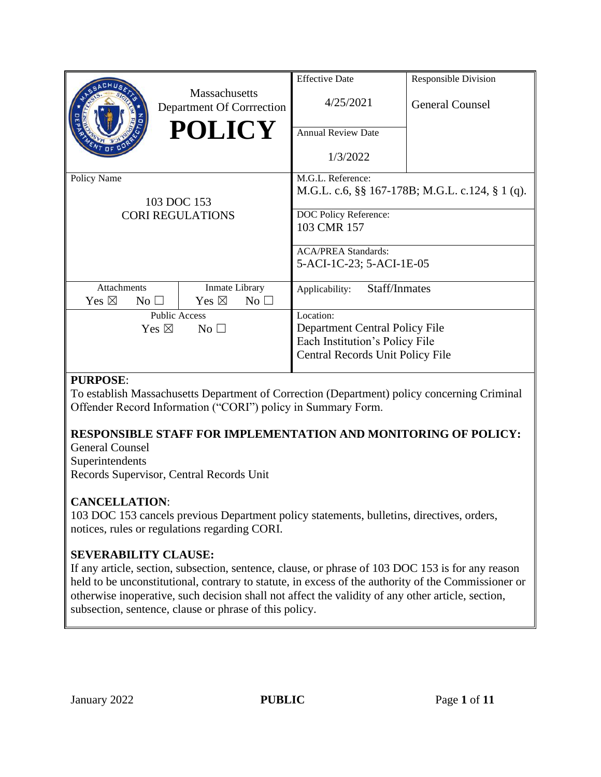|                                        |                                                   | <b>Effective Date</b>            | <b>Responsible Division</b>                     |
|----------------------------------------|---------------------------------------------------|----------------------------------|-------------------------------------------------|
|                                        | <b>Massachusetts</b><br>Department Of Corrrection | 4/25/2021                        | <b>General Counsel</b>                          |
|                                        | <b>POLICY</b>                                     | Annual Review Date               |                                                 |
|                                        |                                                   | 1/3/2022                         |                                                 |
| Policy Name                            |                                                   | M.G.L. Reference:                |                                                 |
| 103 DOC 153<br><b>CORI REGULATIONS</b> |                                                   |                                  | M.G.L. c.6, §§ 167-178B; M.G.L. c.124, § 1 (q). |
|                                        |                                                   | DOC Policy Reference:            |                                                 |
|                                        |                                                   | 103 CMR 157                      |                                                 |
|                                        |                                                   |                                  |                                                 |
|                                        |                                                   | <b>ACA/PREA Standards:</b>       |                                                 |
|                                        |                                                   | 5-ACI-1C-23; 5-ACI-1E-05         |                                                 |
| <b>Attachments</b>                     | Inmate Library                                    | Staff/Inmates<br>Applicability:  |                                                 |
| Yes $\boxtimes$<br>$No$ $\square$      | Yes $\boxtimes$<br>$No$ $\square$                 |                                  |                                                 |
| <b>Public Access</b>                   |                                                   | Location:                        |                                                 |
| Yes $\boxtimes$<br>No <sub>1</sub>     |                                                   | Department Central Policy File   |                                                 |
|                                        |                                                   | Each Institution's Policy File   |                                                 |
|                                        |                                                   | Central Records Unit Policy File |                                                 |
|                                        |                                                   |                                  |                                                 |

## **PURPOSE**:

To establish Massachusetts Department of Correction (Department) policy concerning Criminal Offender Record Information ("CORI") policy in Summary Form.

# **RESPONSIBLE STAFF FOR IMPLEMENTATION AND MONITORING OF POLICY:**

General Counsel Superintendents Records Supervisor, Central Records Unit

## **CANCELLATION**:

103 DOC 153 cancels previous Department policy statements, bulletins, directives, orders, notices, rules or regulations regarding CORI.

## **SEVERABILITY CLAUSE:**

If any article, section, subsection, sentence, clause, or phrase of 103 DOC 153 is for any reason held to be unconstitutional, contrary to statute, in excess of the authority of the Commissioner or otherwise inoperative, such decision shall not affect the validity of any other article, section, subsection, sentence, clause or phrase of this policy.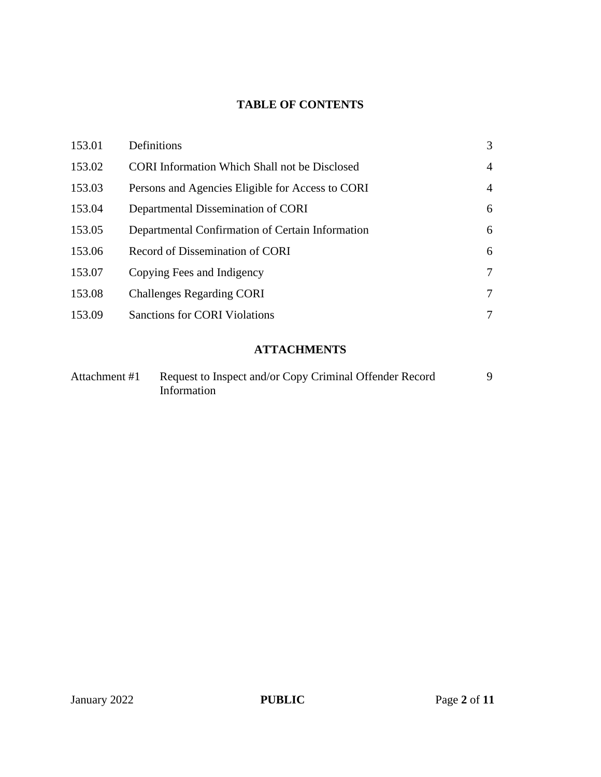# **TABLE OF CONTENTS**

| 153.01 | Definitions                                          | 3              |
|--------|------------------------------------------------------|----------------|
| 153.02 | <b>CORI</b> Information Which Shall not be Disclosed | $\overline{4}$ |
| 153.03 | Persons and Agencies Eligible for Access to CORI     | $\overline{4}$ |
| 153.04 | Departmental Dissemination of CORI                   | 6              |
| 153.05 | Departmental Confirmation of Certain Information     | 6              |
| 153.06 | Record of Dissemination of CORI                      | 6              |
| 153.07 | Copying Fees and Indigency                           | $\tau$         |
| 153.08 | <b>Challenges Regarding CORI</b>                     | $\tau$         |
| 153.09 | <b>Sanctions for CORI Violations</b>                 | 7              |

# **ATTACHMENTS**

| Attachment #1 | Request to Inspect and/or Copy Criminal Offender Record |  |
|---------------|---------------------------------------------------------|--|
|               | Information                                             |  |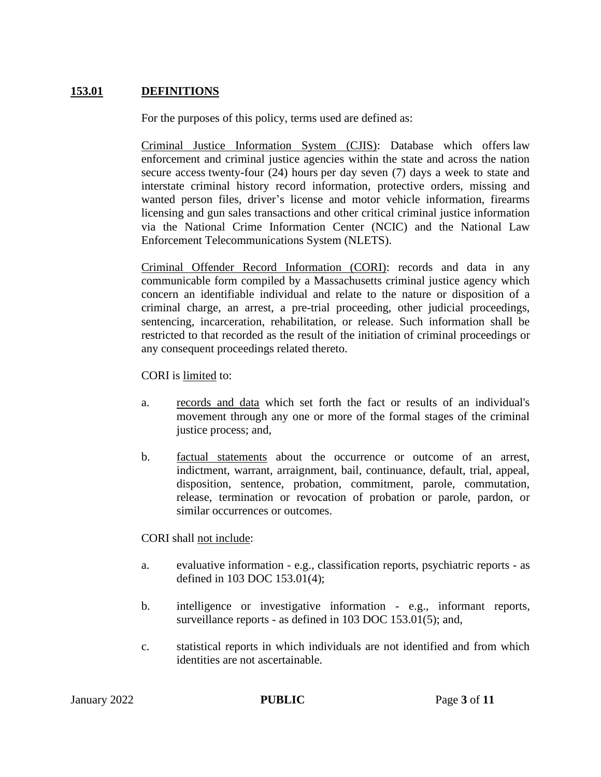## **153.01 DEFINITIONS**

For the purposes of this policy, terms used are defined as:

Criminal Justice Information System (CJIS): Database which offers law enforcement and criminal justice agencies within the state and across the nation secure access twenty-four (24) hours per day seven (7) days a week to state and interstate criminal history record information, protective orders, missing and wanted person files, driver's license and motor vehicle information, firearms licensing and gun sales transactions and other critical criminal justice information via the National Crime Information Center (NCIC) and the National Law Enforcement Telecommunications System (NLETS).

Criminal Offender Record Information (CORI): records and data in any communicable form compiled by a Massachusetts criminal justice agency which concern an identifiable individual and relate to the nature or disposition of a criminal charge, an arrest, a pre-trial proceeding, other judicial proceedings, sentencing, incarceration, rehabilitation, or release. Such information shall be restricted to that recorded as the result of the initiation of criminal proceedings or any consequent proceedings related thereto.

CORI is limited to:

- a. records and data which set forth the fact or results of an individual's movement through any one or more of the formal stages of the criminal justice process; and,
- b. factual statements about the occurrence or outcome of an arrest, indictment, warrant, arraignment, bail, continuance, default, trial, appeal, disposition, sentence, probation, commitment, parole, commutation, release, termination or revocation of probation or parole, pardon, or similar occurrences or outcomes.

#### CORI shall not include:

- a. evaluative information e.g., classification reports, psychiatric reports as defined in 103 DOC 153.01(4);
- b. intelligence or investigative information e.g., informant reports, surveillance reports - as defined in 103 DOC 153.01(5); and,
- c. statistical reports in which individuals are not identified and from which identities are not ascertainable.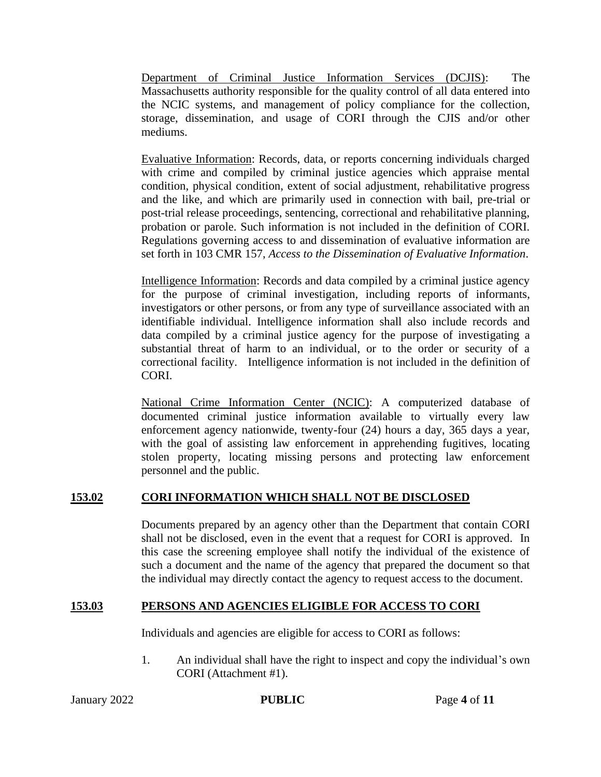Department of Criminal Justice Information Services (DCJIS): The Massachusetts authority responsible for the quality control of all data entered into the NCIC systems, and management of policy compliance for the collection, storage, dissemination, and usage of CORI through the CJIS and/or other mediums.

Evaluative Information: Records, data, or reports concerning individuals charged with crime and compiled by criminal justice agencies which appraise mental condition, physical condition, extent of social adjustment, rehabilitative progress and the like, and which are primarily used in connection with bail, pre-trial or post-trial release proceedings, sentencing, correctional and rehabilitative planning, probation or parole. Such information is not included in the definition of CORI. Regulations governing access to and dissemination of evaluative information are set forth in 103 CMR 157, *Access to the Dissemination of Evaluative Information*.

Intelligence Information: Records and data compiled by a criminal justice agency for the purpose of criminal investigation, including reports of informants, investigators or other persons, or from any type of surveillance associated with an identifiable individual. Intelligence information shall also include records and data compiled by a criminal justice agency for the purpose of investigating a substantial threat of harm to an individual, or to the order or security of a correctional facility. Intelligence information is not included in the definition of CORI.

National Crime Information Center (NCIC): A computerized database of documented criminal justice information available to virtually every law enforcement agency nationwide, twenty-four (24) hours a day, 365 days a year, with the goal of assisting law enforcement in apprehending fugitives, locating stolen property, locating missing persons and protecting law enforcement personnel and the public.

## **153.02 CORI INFORMATION WHICH SHALL NOT BE DISCLOSED**

Documents prepared by an agency other than the Department that contain CORI shall not be disclosed, even in the event that a request for CORI is approved. In this case the screening employee shall notify the individual of the existence of such a document and the name of the agency that prepared the document so that the individual may directly contact the agency to request access to the document.

## **153.03 PERSONS AND AGENCIES ELIGIBLE FOR ACCESS TO CORI**

Individuals and agencies are eligible for access to CORI as follows:

1. An individual shall have the right to inspect and copy the individual's own CORI (Attachment #1).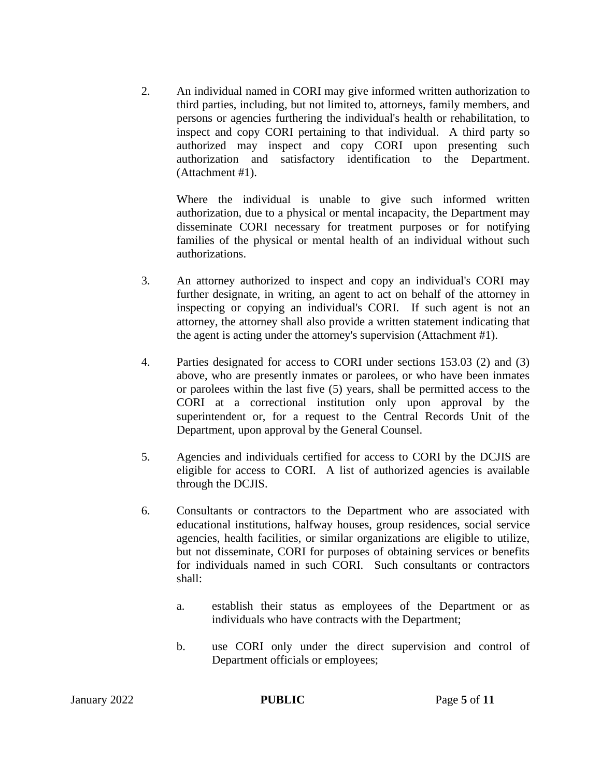2. An individual named in CORI may give informed written authorization to third parties, including, but not limited to, attorneys, family members, and persons or agencies furthering the individual's health or rehabilitation, to inspect and copy CORI pertaining to that individual. A third party so authorized may inspect and copy CORI upon presenting such authorization and satisfactory identification to the Department. (Attachment #1).

Where the individual is unable to give such informed written authorization, due to a physical or mental incapacity, the Department may disseminate CORI necessary for treatment purposes or for notifying families of the physical or mental health of an individual without such authorizations.

- 3. An attorney authorized to inspect and copy an individual's CORI may further designate, in writing, an agent to act on behalf of the attorney in inspecting or copying an individual's CORI. If such agent is not an attorney, the attorney shall also provide a written statement indicating that the agent is acting under the attorney's supervision (Attachment #1).
- 4. Parties designated for access to CORI under sections 153.03 (2) and (3) above, who are presently inmates or parolees, or who have been inmates or parolees within the last five (5) years, shall be permitted access to the CORI at a correctional institution only upon approval by the superintendent or, for a request to the Central Records Unit of the Department, upon approval by the General Counsel.
- 5. Agencies and individuals certified for access to CORI by the DCJIS are eligible for access to CORI. A list of authorized agencies is available through the DCJIS.
- 6. Consultants or contractors to the Department who are associated with educational institutions, halfway houses, group residences, social service agencies, health facilities, or similar organizations are eligible to utilize, but not disseminate, CORI for purposes of obtaining services or benefits for individuals named in such CORI. Such consultants or contractors shall:
	- a. establish their status as employees of the Department or as individuals who have contracts with the Department;
	- b. use CORI only under the direct supervision and control of Department officials or employees;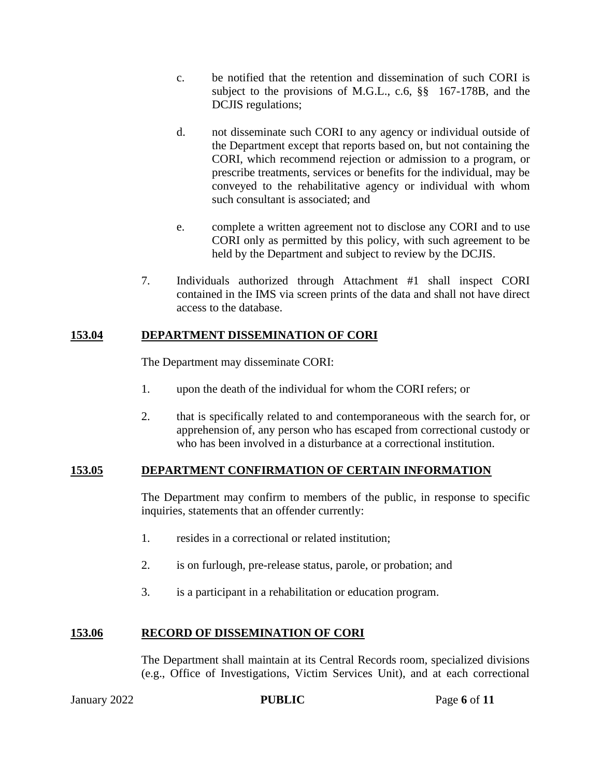- c. be notified that the retention and dissemination of such CORI is subject to the provisions of M.G.L., c.6, §§ 167-178B, and the DCJIS regulations;
- d. not disseminate such CORI to any agency or individual outside of the Department except that reports based on, but not containing the CORI, which recommend rejection or admission to a program, or prescribe treatments, services or benefits for the individual, may be conveyed to the rehabilitative agency or individual with whom such consultant is associated; and
- e. complete a written agreement not to disclose any CORI and to use CORI only as permitted by this policy, with such agreement to be held by the Department and subject to review by the DCJIS.
- 7. Individuals authorized through Attachment #1 shall inspect CORI contained in the IMS via screen prints of the data and shall not have direct access to the database.

## **153.04 DEPARTMENT DISSEMINATION OF CORI**

The Department may disseminate CORI:

- 1. upon the death of the individual for whom the CORI refers; or
- 2. that is specifically related to and contemporaneous with the search for, or apprehension of, any person who has escaped from correctional custody or who has been involved in a disturbance at a correctional institution.

#### **153.05 DEPARTMENT CONFIRMATION OF CERTAIN INFORMATION**

The Department may confirm to members of the public, in response to specific inquiries, statements that an offender currently:

- 1. resides in a correctional or related institution;
- 2. is on furlough, pre-release status, parole, or probation; and
- 3. is a participant in a rehabilitation or education program.

## **153.06 RECORD OF DISSEMINATION OF CORI**

The Department shall maintain at its Central Records room, specialized divisions (e.g., Office of Investigations, Victim Services Unit), and at each correctional

January 2022 **PUBLIC** Page **6** of **11**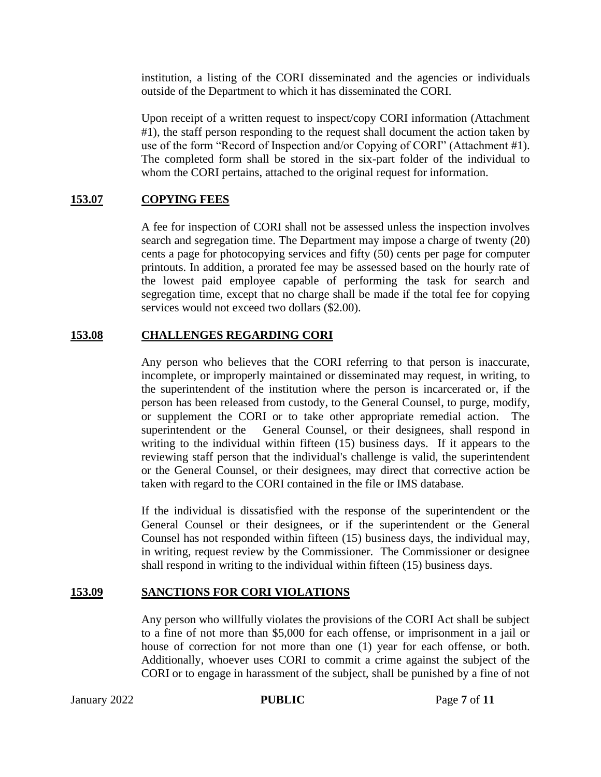institution, a listing of the CORI disseminated and the agencies or individuals outside of the Department to which it has disseminated the CORI.

Upon receipt of a written request to inspect/copy CORI information (Attachment #1), the staff person responding to the request shall document the action taken by use of the form "Record of Inspection and/or Copying of CORI" (Attachment #1). The completed form shall be stored in the six-part folder of the individual to whom the CORI pertains, attached to the original request for information.

## **153.07 COPYING FEES**

A fee for inspection of CORI shall not be assessed unless the inspection involves search and segregation time. The Department may impose a charge of twenty (20) cents a page for photocopying services and fifty (50) cents per page for computer printouts. In addition, a prorated fee may be assessed based on the hourly rate of the lowest paid employee capable of performing the task for search and segregation time, except that no charge shall be made if the total fee for copying services would not exceed two dollars (\$2.00).

#### **153.08 CHALLENGES REGARDING CORI**

Any person who believes that the CORI referring to that person is inaccurate, incomplete, or improperly maintained or disseminated may request, in writing, to the superintendent of the institution where the person is incarcerated or, if the person has been released from custody, to the General Counsel, to purge, modify, or supplement the CORI or to take other appropriate remedial action. The superintendent or the General Counsel, or their designees, shall respond in writing to the individual within fifteen (15) business days. If it appears to the reviewing staff person that the individual's challenge is valid, the superintendent or the General Counsel, or their designees, may direct that corrective action be taken with regard to the CORI contained in the file or IMS database.

If the individual is dissatisfied with the response of the superintendent or the General Counsel or their designees, or if the superintendent or the General Counsel has not responded within fifteen (15) business days, the individual may, in writing, request review by the Commissioner. The Commissioner or designee shall respond in writing to the individual within fifteen (15) business days.

#### **153.09 SANCTIONS FOR CORI VIOLATIONS**

Any person who willfully violates the provisions of the CORI Act shall be subject to a fine of not more than \$5,000 for each offense, or imprisonment in a jail or house of correction for not more than one (1) year for each offense, or both. Additionally, whoever uses CORI to commit a crime against the subject of the CORI or to engage in harassment of the subject, shall be punished by a fine of not

January 2022 **PUBLIC** Page **7** of **11**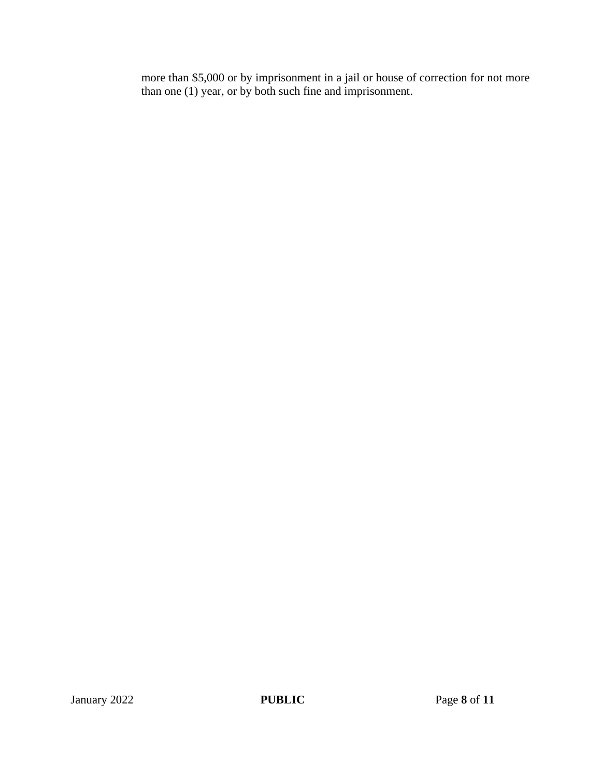more than \$5,000 or by imprisonment in a jail or house of correction for not more than one (1) year, or by both such fine and imprisonment.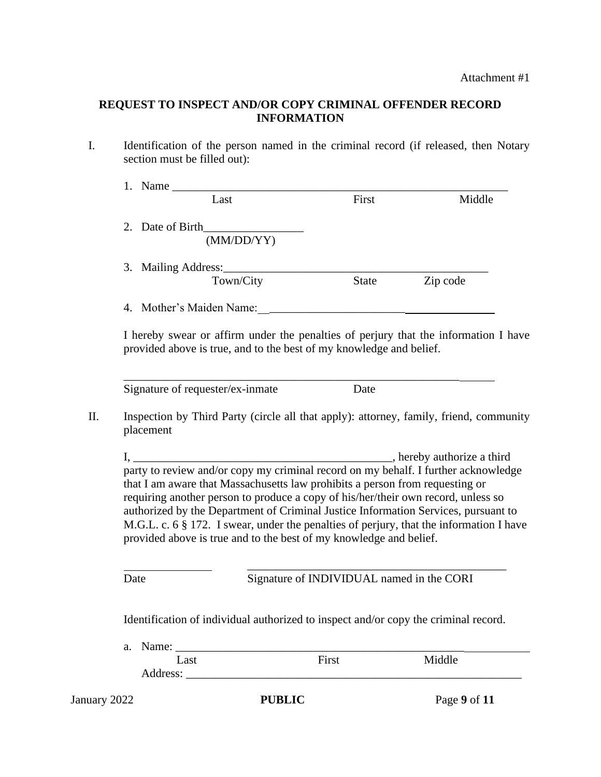#### **REQUEST TO INSPECT AND/OR COPY CRIMINAL OFFENDER RECORD INFORMATION**

I. Identification of the person named in the criminal record (if released, then Notary section must be filled out):

|     |                                                                                     | Last                                                                                                                                                              | First                                     | Middle                                                                                  |  |  |
|-----|-------------------------------------------------------------------------------------|-------------------------------------------------------------------------------------------------------------------------------------------------------------------|-------------------------------------------|-----------------------------------------------------------------------------------------|--|--|
|     |                                                                                     |                                                                                                                                                                   |                                           |                                                                                         |  |  |
|     |                                                                                     | (MM/DD/YY)                                                                                                                                                        |                                           |                                                                                         |  |  |
|     | 3. Mailing Address:                                                                 |                                                                                                                                                                   |                                           |                                                                                         |  |  |
|     |                                                                                     | Town/City                                                                                                                                                         | <b>State</b>                              | Zip code                                                                                |  |  |
|     | 4. Mother's Maiden Name:                                                            |                                                                                                                                                                   |                                           |                                                                                         |  |  |
|     |                                                                                     | provided above is true, and to the best of my knowledge and belief.                                                                                               |                                           | I hereby swear or affirm under the penalties of perjury that the information I have     |  |  |
|     | Signature of requester/ex-inmate                                                    |                                                                                                                                                                   | Date                                      |                                                                                         |  |  |
| II. | placement                                                                           | Inspection by Third Party (circle all that apply): attorney, family, friend, community                                                                            |                                           |                                                                                         |  |  |
|     |                                                                                     |                                                                                                                                                                   |                                           |                                                                                         |  |  |
|     |                                                                                     |                                                                                                                                                                   |                                           |                                                                                         |  |  |
|     |                                                                                     | that I am aware that Massachusetts law prohibits a person from requesting or<br>requiring another person to produce a copy of his/her/their own record, unless so |                                           |                                                                                         |  |  |
|     |                                                                                     |                                                                                                                                                                   |                                           | authorized by the Department of Criminal Justice Information Services, pursuant to      |  |  |
|     |                                                                                     |                                                                                                                                                                   |                                           | M.G.L. c. 6 § 172. I swear, under the penalties of perjury, that the information I have |  |  |
|     |                                                                                     | provided above is true and to the best of my knowledge and belief.                                                                                                |                                           |                                                                                         |  |  |
|     | Date                                                                                |                                                                                                                                                                   | Signature of INDIVIDUAL named in the CORI |                                                                                         |  |  |
|     | Identification of individual authorized to inspect and/or copy the criminal record. |                                                                                                                                                                   |                                           |                                                                                         |  |  |
|     | a.                                                                                  |                                                                                                                                                                   |                                           |                                                                                         |  |  |
|     | Last                                                                                |                                                                                                                                                                   | First                                     | Middle                                                                                  |  |  |
|     |                                                                                     |                                                                                                                                                                   |                                           |                                                                                         |  |  |
|     | January 2022                                                                        | <b>PUBLIC</b>                                                                                                                                                     |                                           | Page 9 of 11                                                                            |  |  |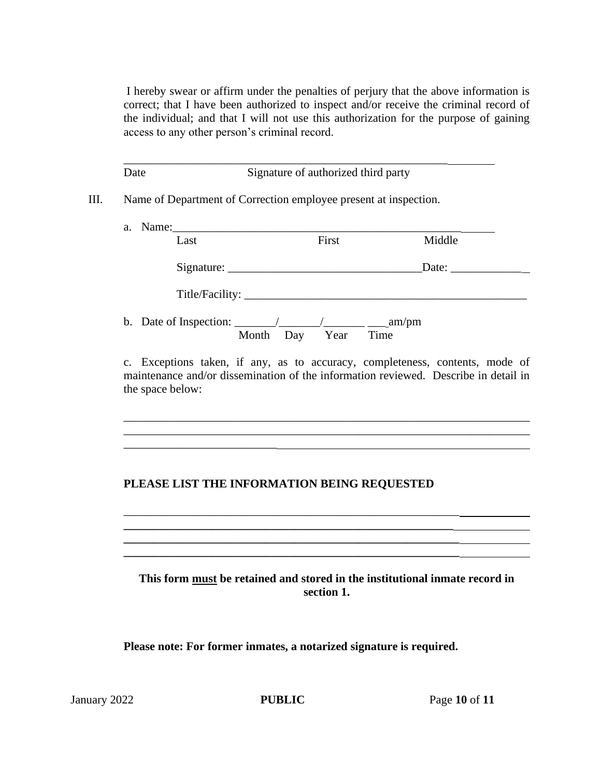I hereby swear or affirm under the penalties of perjury that the above information is correct; that I have been authorized to inspect and/or receive the criminal record of the individual; and that I will not use this authorization for the purpose of gaining access to any other person's criminal record.

\_\_\_\_\_\_\_\_\_\_\_\_\_\_\_\_\_\_\_\_\_\_\_\_\_\_\_\_\_\_\_\_\_\_\_\_\_\_\_\_\_\_\_\_\_\_\_\_\_\_\_\_\_\_\_ Date Signature of authorized third party

III. Name of Department of Correction employee present at inspection.

| a. |                                                                        |                     |        |  |
|----|------------------------------------------------------------------------|---------------------|--------|--|
|    | Last                                                                   | First               | Middle |  |
|    |                                                                        |                     |        |  |
|    |                                                                        |                     |        |  |
|    | b. Date of Inspection: $\angle$ / $\angle$ / $\angle$ / $\angle$ am/pm | Month Day Year Time |        |  |

c. Exceptions taken, if any, as to accuracy, completeness, contents, mode of maintenance and/or dissemination of the information reviewed. Describe in detail in the space below:

\_\_\_\_\_\_\_\_\_\_\_\_\_\_\_\_\_\_\_\_\_\_\_\_\_\_\_\_\_\_\_\_\_\_\_\_\_\_\_\_\_\_\_\_\_\_\_\_\_\_\_\_\_\_\_\_\_\_\_\_\_\_\_\_\_\_\_\_\_ \_\_\_\_\_\_\_\_\_\_\_\_\_\_\_\_\_\_\_\_\_\_\_\_\_\_\_\_\_\_\_\_\_\_\_\_\_\_\_\_\_\_\_\_\_\_\_\_\_\_\_\_\_\_\_\_\_\_\_\_\_\_\_\_\_\_\_\_\_

# **PLEASE LIST THE INFORMATION BEING REQUESTED**

\_\_\_\_\_\_\_\_\_\_\_\_\_\_\_\_\_\_\_\_\_\_\_\_\_\_\_\_\_\_\_\_\_\_\_\_\_\_\_\_\_\_\_\_\_\_\_\_\_\_\_\_\_\_\_\_\_ **\_\_\_\_\_\_\_\_\_\_\_\_\_\_\_\_\_\_\_\_\_\_\_\_\_\_\_\_\_\_\_\_\_\_\_\_\_\_\_\_\_\_\_\_\_\_\_\_\_\_\_\_\_\_\_\_ \_\_\_\_\_\_\_\_\_\_\_\_\_\_\_\_\_\_\_\_\_\_\_\_\_\_\_\_\_\_\_\_\_\_\_\_\_\_\_\_\_\_\_\_\_\_\_\_\_\_\_\_\_\_\_\_\_ \_\_\_\_\_\_\_\_\_\_\_\_\_\_\_\_\_\_\_\_\_\_\_\_\_\_\_\_\_\_\_\_\_\_\_\_\_\_\_\_\_\_\_\_\_\_\_\_\_\_\_\_\_\_\_\_\_**

\_\_\_\_\_\_\_\_\_\_\_\_\_\_\_\_\_\_\_\_\_\_\_\_\_\_

**This form must be retained and stored in the institutional inmate record in section 1.**

**Please note: For former inmates, a notarized signature is required.**